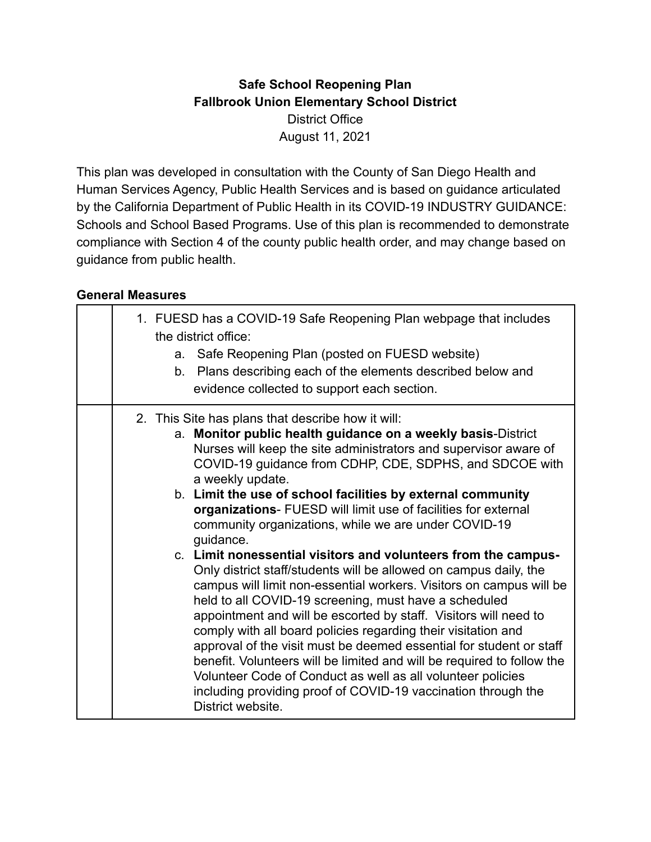### **Safe School Reopening Plan Fallbrook Union Elementary School District** District Office August 11, 2021

This plan was developed in consultation with the County of San Diego Health and Human Services Agency, Public Health Services and is based on guidance articulated by the California Department of Public Health in its COVID-19 INDUSTRY GUIDANCE: Schools and School Based Programs. Use of this plan is recommended to demonstrate compliance with Section 4 of the county public health order, and may change based on guidance from public health.

#### **General Measures**

| 1. FUESD has a COVID-19 Safe Reopening Plan webpage that includes<br>the district office:<br>a. Safe Reopening Plan (posted on FUESD website)<br>b. Plans describing each of the elements described below and<br>evidence collected to support each section.                                                                                                                                                                                                                                                                                                                                                                                                                                                                                                                                                                                                                                                                                                                                                                                                                                                                                                                                 |
|----------------------------------------------------------------------------------------------------------------------------------------------------------------------------------------------------------------------------------------------------------------------------------------------------------------------------------------------------------------------------------------------------------------------------------------------------------------------------------------------------------------------------------------------------------------------------------------------------------------------------------------------------------------------------------------------------------------------------------------------------------------------------------------------------------------------------------------------------------------------------------------------------------------------------------------------------------------------------------------------------------------------------------------------------------------------------------------------------------------------------------------------------------------------------------------------|
| 2. This Site has plans that describe how it will:<br>a. Monitor public health guidance on a weekly basis-District<br>Nurses will keep the site administrators and supervisor aware of<br>COVID-19 guidance from CDHP, CDE, SDPHS, and SDCOE with<br>a weekly update.<br>b. Limit the use of school facilities by external community<br>organizations- FUESD will limit use of facilities for external<br>community organizations, while we are under COVID-19<br>quidance.<br>c. Limit nonessential visitors and volunteers from the campus-<br>Only district staff/students will be allowed on campus daily, the<br>campus will limit non-essential workers. Visitors on campus will be<br>held to all COVID-19 screening, must have a scheduled<br>appointment and will be escorted by staff. Visitors will need to<br>comply with all board policies regarding their visitation and<br>approval of the visit must be deemed essential for student or staff<br>benefit. Volunteers will be limited and will be required to follow the<br>Volunteer Code of Conduct as well as all volunteer policies<br>including providing proof of COVID-19 vaccination through the<br>District website. |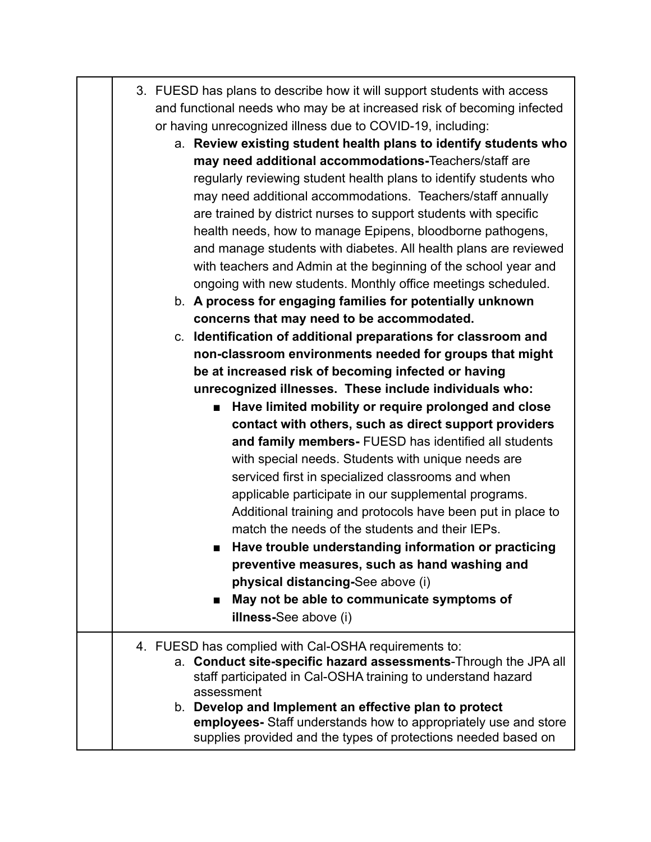|  | 3. FUESD has plans to describe how it will support students with access<br>and functional needs who may be at increased risk of becoming infected<br>or having unrecognized illness due to COVID-19, including:<br>a. Review existing student health plans to identify students who<br>may need additional accommodations-Teachers/staff are<br>regularly reviewing student health plans to identify students who<br>may need additional accommodations. Teachers/staff annually<br>are trained by district nurses to support students with specific<br>health needs, how to manage Epipens, bloodborne pathogens,<br>and manage students with diabetes. All health plans are reviewed<br>with teachers and Admin at the beginning of the school year and<br>ongoing with new students. Monthly office meetings scheduled.<br>b. A process for engaging families for potentially unknown<br>concerns that may need to be accommodated.<br>c. Identification of additional preparations for classroom and<br>non-classroom environments needed for groups that might<br>be at increased risk of becoming infected or having<br>unrecognized illnesses. These include individuals who:<br>Have limited mobility or require prolonged and close<br>■<br>contact with others, such as direct support providers<br>and family members- FUESD has identified all students<br>with special needs. Students with unique needs are<br>serviced first in specialized classrooms and when<br>applicable participate in our supplemental programs.<br>Additional training and protocols have been put in place to<br>match the needs of the students and their IEPs.<br>Have trouble understanding information or practicing<br>preventive measures, such as hand washing and<br>physical distancing-See above (i)<br>May not be able to communicate symptoms of<br>■ |
|--|-----------------------------------------------------------------------------------------------------------------------------------------------------------------------------------------------------------------------------------------------------------------------------------------------------------------------------------------------------------------------------------------------------------------------------------------------------------------------------------------------------------------------------------------------------------------------------------------------------------------------------------------------------------------------------------------------------------------------------------------------------------------------------------------------------------------------------------------------------------------------------------------------------------------------------------------------------------------------------------------------------------------------------------------------------------------------------------------------------------------------------------------------------------------------------------------------------------------------------------------------------------------------------------------------------------------------------------------------------------------------------------------------------------------------------------------------------------------------------------------------------------------------------------------------------------------------------------------------------------------------------------------------------------------------------------------------------------------------------------------------------------------------------------------------------------------------------------------------------------|
|  | illness-See above (i)                                                                                                                                                                                                                                                                                                                                                                                                                                                                                                                                                                                                                                                                                                                                                                                                                                                                                                                                                                                                                                                                                                                                                                                                                                                                                                                                                                                                                                                                                                                                                                                                                                                                                                                                                                                                                                     |
|  | 4. FUESD has complied with Cal-OSHA requirements to:                                                                                                                                                                                                                                                                                                                                                                                                                                                                                                                                                                                                                                                                                                                                                                                                                                                                                                                                                                                                                                                                                                                                                                                                                                                                                                                                                                                                                                                                                                                                                                                                                                                                                                                                                                                                      |
|  | a. Conduct site-specific hazard assessments-Through the JPA all<br>staff participated in Cal-OSHA training to understand hazard<br>assessment                                                                                                                                                                                                                                                                                                                                                                                                                                                                                                                                                                                                                                                                                                                                                                                                                                                                                                                                                                                                                                                                                                                                                                                                                                                                                                                                                                                                                                                                                                                                                                                                                                                                                                             |
|  | b. Develop and Implement an effective plan to protect<br>employees- Staff understands how to appropriately use and store<br>supplies provided and the types of protections needed based on                                                                                                                                                                                                                                                                                                                                                                                                                                                                                                                                                                                                                                                                                                                                                                                                                                                                                                                                                                                                                                                                                                                                                                                                                                                                                                                                                                                                                                                                                                                                                                                                                                                                |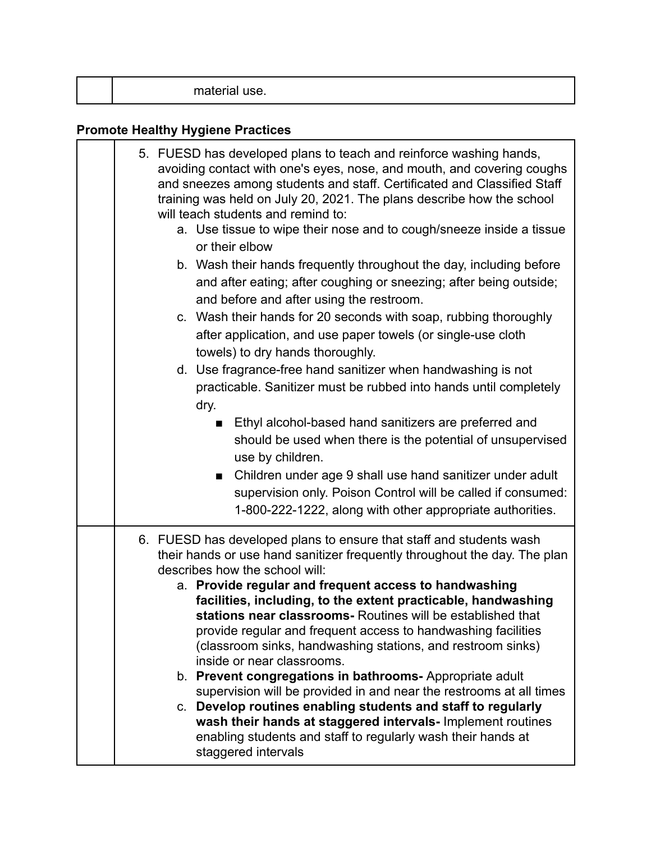| material use. |  |
|---------------|--|
|---------------|--|

# **Promote Healthy Hygiene Practices**

|  | 5. FUESD has developed plans to teach and reinforce washing hands,<br>avoiding contact with one's eyes, nose, and mouth, and covering coughs<br>and sneezes among students and staff. Certificated and Classified Staff<br>training was held on July 20, 2021. The plans describe how the school<br>will teach students and remind to:                |
|--|-------------------------------------------------------------------------------------------------------------------------------------------------------------------------------------------------------------------------------------------------------------------------------------------------------------------------------------------------------|
|  | a. Use tissue to wipe their nose and to cough/sneeze inside a tissue<br>or their elbow                                                                                                                                                                                                                                                                |
|  | b. Wash their hands frequently throughout the day, including before<br>and after eating; after coughing or sneezing; after being outside;<br>and before and after using the restroom.<br>c. Wash their hands for 20 seconds with soap, rubbing thoroughly                                                                                             |
|  | after application, and use paper towels (or single-use cloth<br>towels) to dry hands thoroughly.                                                                                                                                                                                                                                                      |
|  | d. Use fragrance-free hand sanitizer when handwashing is not<br>practicable. Sanitizer must be rubbed into hands until completely<br>dry.                                                                                                                                                                                                             |
|  | Ethyl alcohol-based hand sanitizers are preferred and<br>should be used when there is the potential of unsupervised<br>use by children.                                                                                                                                                                                                               |
|  | Children under age 9 shall use hand sanitizer under adult<br>$\blacksquare$<br>supervision only. Poison Control will be called if consumed:<br>1-800-222-1222, along with other appropriate authorities.                                                                                                                                              |
|  | 6. FUESD has developed plans to ensure that staff and students wash<br>their hands or use hand sanitizer frequently throughout the day. The plan<br>describes how the school will:<br>a. Provide regular and frequent access to handwashing                                                                                                           |
|  | facilities, including, to the extent practicable, handwashing<br>stations near classrooms- Routines will be established that<br>provide regular and frequent access to handwashing facilities<br>(classroom sinks, handwashing stations, and restroom sinks)<br>inside or near classrooms.                                                            |
|  | b. Prevent congregations in bathrooms- Appropriate adult<br>supervision will be provided in and near the restrooms at all times<br>c. Develop routines enabling students and staff to regularly<br>wash their hands at staggered intervals- Implement routines<br>enabling students and staff to regularly wash their hands at<br>staggered intervals |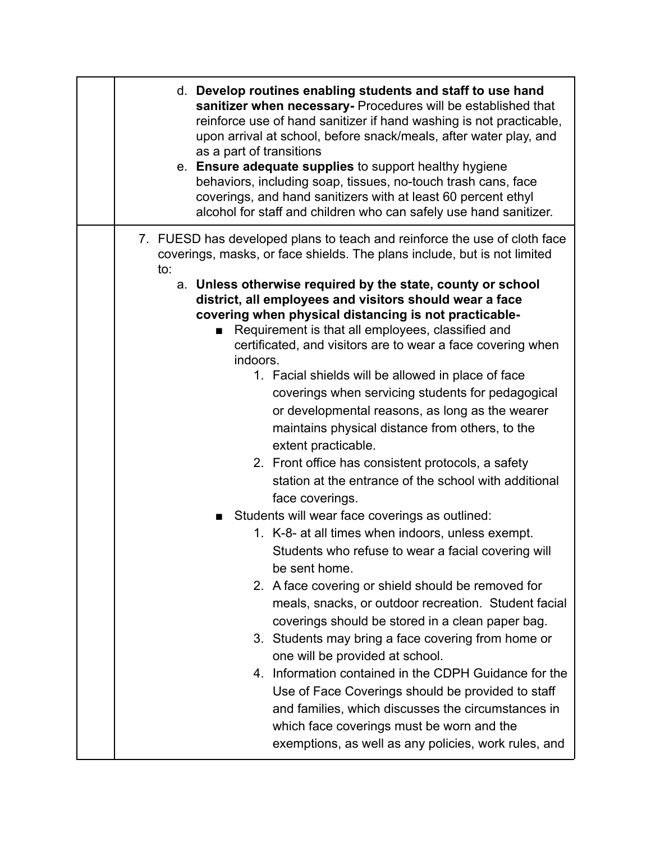| d. Develop routines enabling students and staff to use hand<br>sanitizer when necessary- Procedures will be established that<br>reinforce use of hand sanitizer if hand washing is not practicable,<br>upon arrival at school, before snack/meals, after water play, and<br>as a part of transitions<br>e. Ensure adequate supplies to support healthy hygiene<br>behaviors, including soap, tissues, no-touch trash cans, face<br>coverings, and hand sanitizers with at least 60 percent ethyl<br>alcohol for staff and children who can safely use hand sanitizer.                                                                                                                                                                                                                                                                                                                                                                                                                                                                                                                                                                                                                                                                                                                                                                                                                                                                                                                                                                                                                         |
|-----------------------------------------------------------------------------------------------------------------------------------------------------------------------------------------------------------------------------------------------------------------------------------------------------------------------------------------------------------------------------------------------------------------------------------------------------------------------------------------------------------------------------------------------------------------------------------------------------------------------------------------------------------------------------------------------------------------------------------------------------------------------------------------------------------------------------------------------------------------------------------------------------------------------------------------------------------------------------------------------------------------------------------------------------------------------------------------------------------------------------------------------------------------------------------------------------------------------------------------------------------------------------------------------------------------------------------------------------------------------------------------------------------------------------------------------------------------------------------------------------------------------------------------------------------------------------------------------|
| 7. FUESD has developed plans to teach and reinforce the use of cloth face<br>coverings, masks, or face shields. The plans include, but is not limited<br>to:<br>a. Unless otherwise required by the state, county or school<br>district, all employees and visitors should wear a face<br>covering when physical distancing is not practicable-<br>Requirement is that all employees, classified and<br>$\blacksquare$<br>certificated, and visitors are to wear a face covering when<br>indoors.<br>1. Facial shields will be allowed in place of face<br>coverings when servicing students for pedagogical<br>or developmental reasons, as long as the wearer<br>maintains physical distance from others, to the<br>extent practicable.<br>2. Front office has consistent protocols, a safety<br>station at the entrance of the school with additional<br>face coverings.<br>Students will wear face coverings as outlined:<br>1. K-8- at all times when indoors, unless exempt.<br>Students who refuse to wear a facial covering will<br>be sent home.<br>2. A face covering or shield should be removed for<br>meals, snacks, or outdoor recreation. Student facial<br>coverings should be stored in a clean paper bag.<br>3. Students may bring a face covering from home or<br>one will be provided at school.<br>4. Information contained in the CDPH Guidance for the<br>Use of Face Coverings should be provided to staff<br>and families, which discusses the circumstances in<br>which face coverings must be worn and the<br>exemptions, as well as any policies, work rules, and |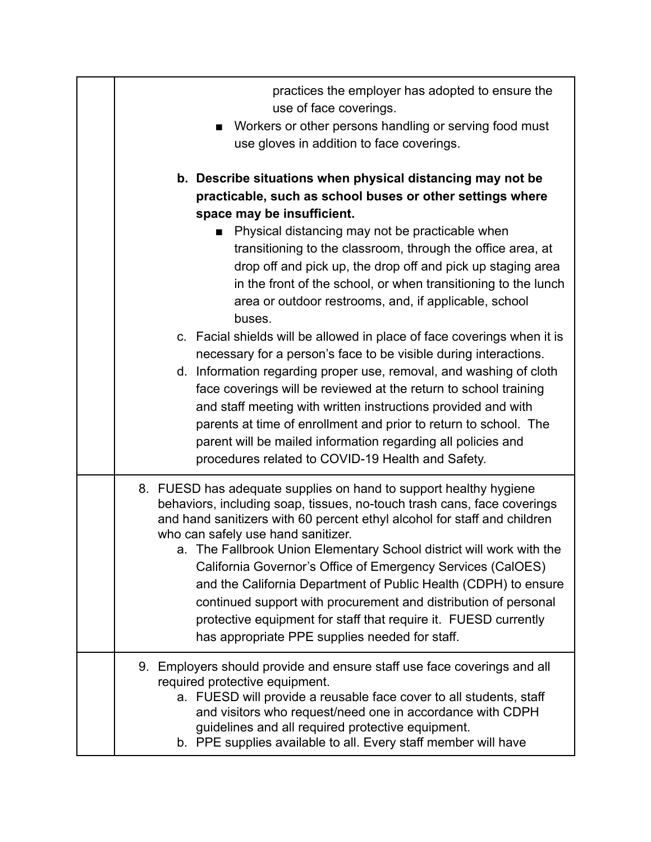| practices the employer has adopted to ensure the<br>use of face coverings.<br>Workers or other persons handling or serving food must                                                                                                                                                                                                                                                                                                                                                                                                                                                                           |
|----------------------------------------------------------------------------------------------------------------------------------------------------------------------------------------------------------------------------------------------------------------------------------------------------------------------------------------------------------------------------------------------------------------------------------------------------------------------------------------------------------------------------------------------------------------------------------------------------------------|
| use gloves in addition to face coverings.                                                                                                                                                                                                                                                                                                                                                                                                                                                                                                                                                                      |
| b. Describe situations when physical distancing may not be<br>practicable, such as school buses or other settings where                                                                                                                                                                                                                                                                                                                                                                                                                                                                                        |
| space may be insufficient.                                                                                                                                                                                                                                                                                                                                                                                                                                                                                                                                                                                     |
| Physical distancing may not be practicable when                                                                                                                                                                                                                                                                                                                                                                                                                                                                                                                                                                |
| transitioning to the classroom, through the office area, at<br>drop off and pick up, the drop off and pick up staging area<br>in the front of the school, or when transitioning to the lunch<br>area or outdoor restrooms, and, if applicable, school<br>buses.                                                                                                                                                                                                                                                                                                                                                |
| c. Facial shields will be allowed in place of face coverings when it is<br>necessary for a person's face to be visible during interactions.                                                                                                                                                                                                                                                                                                                                                                                                                                                                    |
| d. Information regarding proper use, removal, and washing of cloth<br>face coverings will be reviewed at the return to school training<br>and staff meeting with written instructions provided and with<br>parents at time of enrollment and prior to return to school. The<br>parent will be mailed information regarding all policies and<br>procedures related to COVID-19 Health and Safety.                                                                                                                                                                                                               |
| 8. FUESD has adequate supplies on hand to support healthy hygiene<br>behaviors, including soap, tissues, no-touch trash cans, face coverings<br>and hand sanitizers with 60 percent ethyl alcohol for staff and children<br>who can safely use hand sanitizer.<br>a. The Fallbrook Union Elementary School district will work with the<br>California Governor's Office of Emergency Services (CalOES)<br>and the California Department of Public Health (CDPH) to ensure<br>continued support with procurement and distribution of personal<br>protective equipment for staff that require it. FUESD currently |
| has appropriate PPE supplies needed for staff.                                                                                                                                                                                                                                                                                                                                                                                                                                                                                                                                                                 |
| 9. Employers should provide and ensure staff use face coverings and all<br>required protective equipment.<br>a. FUESD will provide a reusable face cover to all students, staff<br>and visitors who request/need one in accordance with CDPH<br>guidelines and all required protective equipment.<br>b. PPE supplies available to all. Every staff member will have                                                                                                                                                                                                                                            |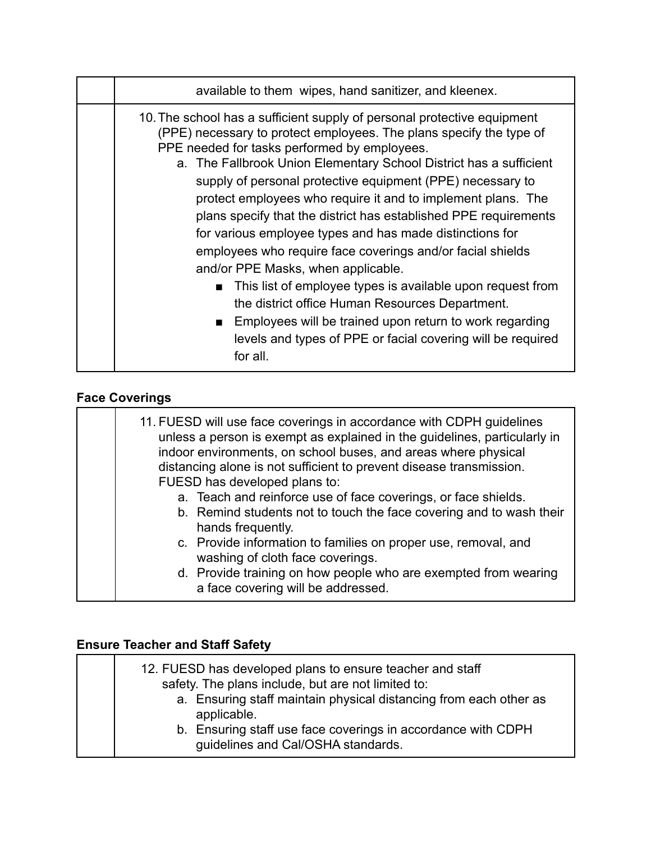| available to them wipes, hand sanitizer, and kleenex.                                                                                                                                                                                                                                                                                                                                                                                                                                                                                                                                                                                                                                                                                                   |
|---------------------------------------------------------------------------------------------------------------------------------------------------------------------------------------------------------------------------------------------------------------------------------------------------------------------------------------------------------------------------------------------------------------------------------------------------------------------------------------------------------------------------------------------------------------------------------------------------------------------------------------------------------------------------------------------------------------------------------------------------------|
|                                                                                                                                                                                                                                                                                                                                                                                                                                                                                                                                                                                                                                                                                                                                                         |
| 10. The school has a sufficient supply of personal protective equipment<br>(PPE) necessary to protect employees. The plans specify the type of<br>PPE needed for tasks performed by employees.<br>a. The Fallbrook Union Elementary School District has a sufficient<br>supply of personal protective equipment (PPE) necessary to<br>protect employees who require it and to implement plans. The<br>plans specify that the district has established PPE requirements<br>for various employee types and has made distinctions for<br>employees who require face coverings and/or facial shields<br>and/or PPE Masks, when applicable.<br>This list of employee types is available upon request from<br>the district office Human Resources Department. |
| Employees will be trained upon return to work regarding<br>levels and types of PPE or facial covering will be required                                                                                                                                                                                                                                                                                                                                                                                                                                                                                                                                                                                                                                  |
| for all.                                                                                                                                                                                                                                                                                                                                                                                                                                                                                                                                                                                                                                                                                                                                                |

### **Face Coverings**

| 11. FUESD will use face coverings in accordance with CDPH guidelines<br>unless a person is exempt as explained in the guidelines, particularly in<br>indoor environments, on school buses, and areas where physical<br>distancing alone is not sufficient to prevent disease transmission.<br>FUESD has developed plans to:<br>a. Teach and reinforce use of face coverings, or face shields. |
|-----------------------------------------------------------------------------------------------------------------------------------------------------------------------------------------------------------------------------------------------------------------------------------------------------------------------------------------------------------------------------------------------|
|                                                                                                                                                                                                                                                                                                                                                                                               |
| b. Remind students not to touch the face covering and to wash their<br>hands frequently.                                                                                                                                                                                                                                                                                                      |
| c. Provide information to families on proper use, removal, and<br>washing of cloth face coverings.                                                                                                                                                                                                                                                                                            |
| d. Provide training on how people who are exempted from wearing<br>a face covering will be addressed.                                                                                                                                                                                                                                                                                         |

## **Ensure Teacher and Staff Safety**

| 12. FUESD has developed plans to ensure teacher and staff<br>safety. The plans include, but are not limited to:<br>a. Ensuring staff maintain physical distancing from each other as |
|--------------------------------------------------------------------------------------------------------------------------------------------------------------------------------------|
| applicable.<br>b. Ensuring staff use face coverings in accordance with CDPH<br>guidelines and Cal/OSHA standards.                                                                    |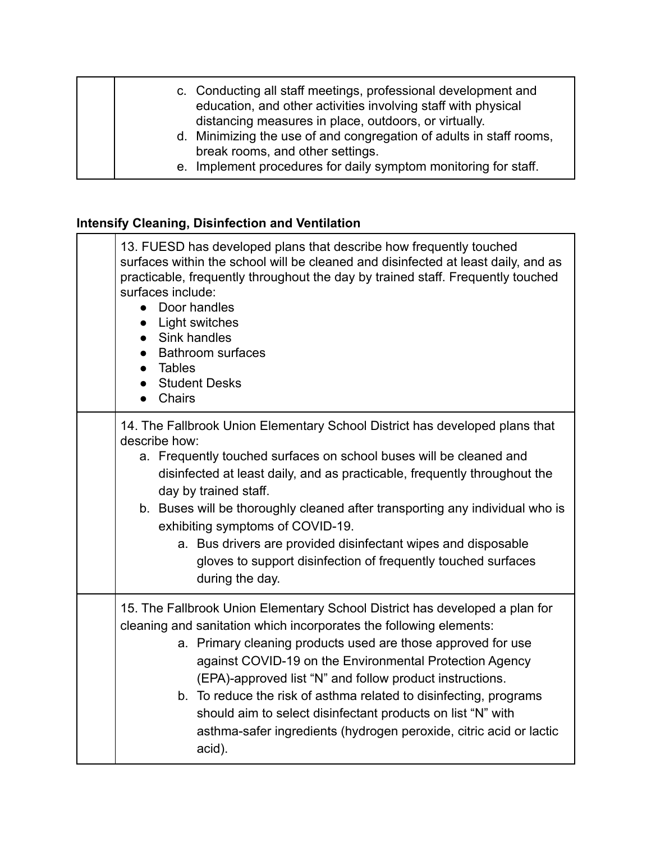| c. Conducting all staff meetings, professional development and<br>education, and other activities involving staff with physical<br>distancing measures in place, outdoors, or virtually. |
|------------------------------------------------------------------------------------------------------------------------------------------------------------------------------------------|
| d. Minimizing the use of and congregation of adults in staff rooms,<br>break rooms, and other settings.<br>e. Implement procedures for daily symptom monitoring for staff.               |

## **Intensify Cleaning, Disinfection and Ventilation**

| 13. FUESD has developed plans that describe how frequently touched<br>surfaces within the school will be cleaned and disinfected at least daily, and as<br>practicable, frequently throughout the day by trained staff. Frequently touched<br>surfaces include:<br>Door handles<br>$\bullet$<br>Light switches<br>$\bullet$<br>Sink handles<br><b>Bathroom surfaces</b><br>Tables<br><b>Student Desks</b><br>Chairs                                                                                                                                          |
|--------------------------------------------------------------------------------------------------------------------------------------------------------------------------------------------------------------------------------------------------------------------------------------------------------------------------------------------------------------------------------------------------------------------------------------------------------------------------------------------------------------------------------------------------------------|
| 14. The Fallbrook Union Elementary School District has developed plans that<br>describe how:<br>a. Frequently touched surfaces on school buses will be cleaned and<br>disinfected at least daily, and as practicable, frequently throughout the<br>day by trained staff.<br>b. Buses will be thoroughly cleaned after transporting any individual who is<br>exhibiting symptoms of COVID-19.<br>a. Bus drivers are provided disinfectant wipes and disposable<br>gloves to support disinfection of frequently touched surfaces<br>during the day.            |
| 15. The Fallbrook Union Elementary School District has developed a plan for<br>cleaning and sanitation which incorporates the following elements:<br>a. Primary cleaning products used are those approved for use<br>against COVID-19 on the Environmental Protection Agency<br>(EPA)-approved list "N" and follow product instructions.<br>b. To reduce the risk of asthma related to disinfecting, programs<br>should aim to select disinfectant products on list "N" with<br>asthma-safer ingredients (hydrogen peroxide, citric acid or lactic<br>acid). |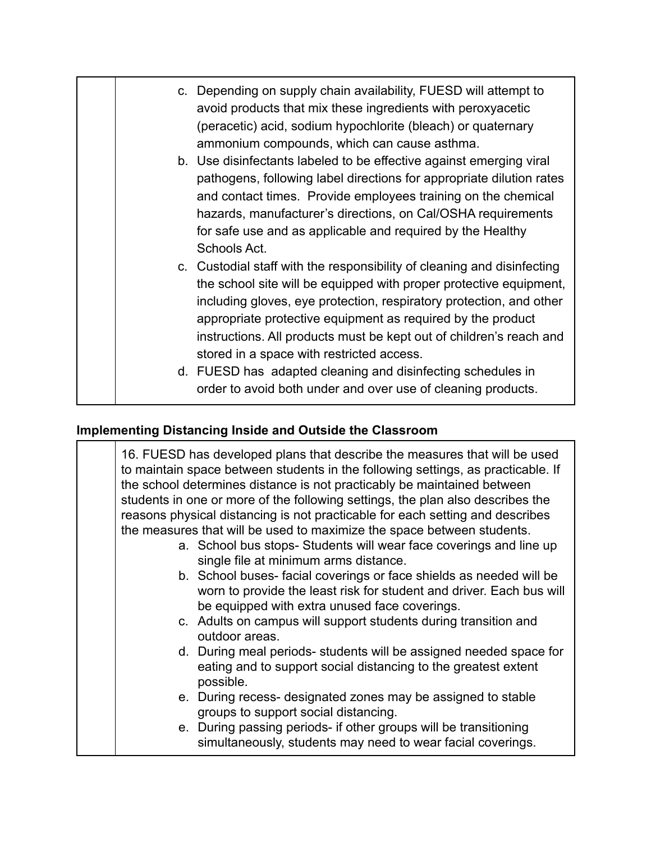|  | c. Depending on supply chain availability, FUESD will attempt to<br>avoid products that mix these ingredients with peroxyacetic<br>(peracetic) acid, sodium hypochlorite (bleach) or quaternary<br>ammonium compounds, which can cause asthma.                                                                                                                                                          |
|--|---------------------------------------------------------------------------------------------------------------------------------------------------------------------------------------------------------------------------------------------------------------------------------------------------------------------------------------------------------------------------------------------------------|
|  | b. Use disinfectants labeled to be effective against emerging viral<br>pathogens, following label directions for appropriate dilution rates<br>and contact times. Provide employees training on the chemical<br>hazards, manufacturer's directions, on Cal/OSHA requirements<br>for safe use and as applicable and required by the Healthy<br>Schools Act.                                              |
|  | c. Custodial staff with the responsibility of cleaning and disinfecting<br>the school site will be equipped with proper protective equipment,<br>including gloves, eye protection, respiratory protection, and other<br>appropriate protective equipment as required by the product<br>instructions. All products must be kept out of children's reach and<br>stored in a space with restricted access. |
|  | d. FUESD has adapted cleaning and disinfecting schedules in<br>order to avoid both under and over use of cleaning products.                                                                                                                                                                                                                                                                             |

#### **Implementing Distancing Inside and Outside the Classroom**

16. FUESD has developed plans that describe the measures that will be used to maintain space between students in the following settings, as practicable. If the school determines distance is not practicably be maintained between students in one or more of the following settings, the plan also describes the reasons physical distancing is not practicable for each setting and describes the measures that will be used to maximize the space between students. a. School bus stops- Students will wear face coverings and line up single file at minimum arms distance. b. School buses- facial coverings or face shields as needed will be worn to provide the least risk for student and driver. Each bus will be equipped with extra unused face coverings. c. Adults on campus will support students during transition and outdoor areas. d. During meal periods- students will be assigned needed space for eating and to support social distancing to the greatest extent possible. e. During recess- designated zones may be assigned to stable groups to support social distancing. e. During passing periods- if other groups will be transitioning simultaneously, students may need to wear facial coverings.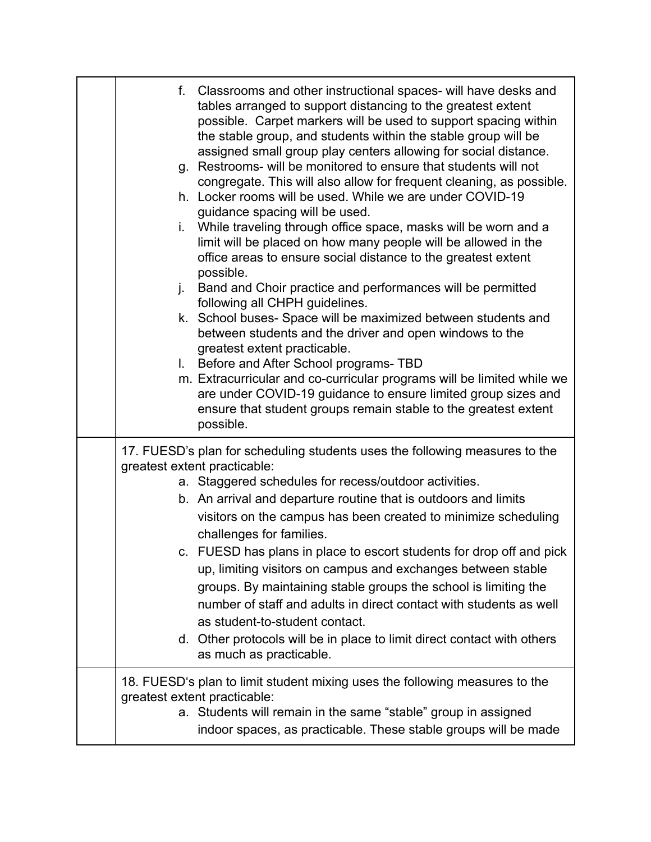| f.<br>Classrooms and other instructional spaces- will have desks and<br>tables arranged to support distancing to the greatest extent<br>possible. Carpet markers will be used to support spacing within<br>the stable group, and students within the stable group will be<br>assigned small group play centers allowing for social distance.<br>g. Restrooms- will be monitored to ensure that students will not<br>congregate. This will also allow for frequent cleaning, as possible.<br>h. Locker rooms will be used. While we are under COVID-19<br>guidance spacing will be used.<br>While traveling through office space, masks will be worn and a<br>i.<br>limit will be placed on how many people will be allowed in the<br>office areas to ensure social distance to the greatest extent<br>possible.<br>j. Band and Choir practice and performances will be permitted<br>following all CHPH guidelines.<br>k. School buses-Space will be maximized between students and<br>between students and the driver and open windows to the<br>greatest extent practicable.<br>I. Before and After School programs- TBD<br>m. Extracurricular and co-curricular programs will be limited while we<br>are under COVID-19 guidance to ensure limited group sizes and<br>ensure that student groups remain stable to the greatest extent<br>possible. |
|------------------------------------------------------------------------------------------------------------------------------------------------------------------------------------------------------------------------------------------------------------------------------------------------------------------------------------------------------------------------------------------------------------------------------------------------------------------------------------------------------------------------------------------------------------------------------------------------------------------------------------------------------------------------------------------------------------------------------------------------------------------------------------------------------------------------------------------------------------------------------------------------------------------------------------------------------------------------------------------------------------------------------------------------------------------------------------------------------------------------------------------------------------------------------------------------------------------------------------------------------------------------------------------------------------------------------------------------------|
| 17. FUESD's plan for scheduling students uses the following measures to the<br>greatest extent practicable:<br>a. Staggered schedules for recess/outdoor activities.<br>b. An arrival and departure routine that is outdoors and limits<br>visitors on the campus has been created to minimize scheduling<br>challenges for families.<br>c. FUESD has plans in place to escort students for drop off and pick<br>up, limiting visitors on campus and exchanges between stable<br>groups. By maintaining stable groups the school is limiting the<br>number of staff and adults in direct contact with students as well<br>as student-to-student contact.<br>d. Other protocols will be in place to limit direct contact with others<br>as much as practicable.                                                                                                                                                                                                                                                                                                                                                                                                                                                                                                                                                                                       |
| 18. FUESD's plan to limit student mixing uses the following measures to the<br>greatest extent practicable:<br>a. Students will remain in the same "stable" group in assigned<br>indoor spaces, as practicable. These stable groups will be made                                                                                                                                                                                                                                                                                                                                                                                                                                                                                                                                                                                                                                                                                                                                                                                                                                                                                                                                                                                                                                                                                                     |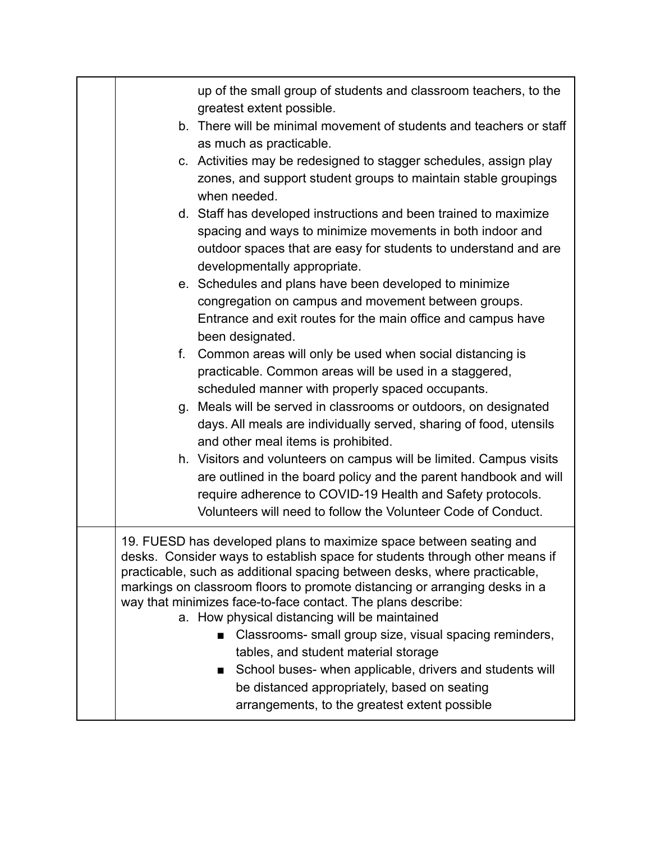| up of the small group of students and classroom teachers, to the<br>greatest extent possible.                                                                                                                                                                                                                                                                                                                                  |
|--------------------------------------------------------------------------------------------------------------------------------------------------------------------------------------------------------------------------------------------------------------------------------------------------------------------------------------------------------------------------------------------------------------------------------|
| b. There will be minimal movement of students and teachers or staff<br>as much as practicable.                                                                                                                                                                                                                                                                                                                                 |
| c. Activities may be redesigned to stagger schedules, assign play<br>zones, and support student groups to maintain stable groupings<br>when needed.                                                                                                                                                                                                                                                                            |
| d. Staff has developed instructions and been trained to maximize<br>spacing and ways to minimize movements in both indoor and<br>outdoor spaces that are easy for students to understand and are<br>developmentally appropriate.                                                                                                                                                                                               |
| e. Schedules and plans have been developed to minimize<br>congregation on campus and movement between groups.<br>Entrance and exit routes for the main office and campus have<br>been designated.                                                                                                                                                                                                                              |
| f. Common areas will only be used when social distancing is<br>practicable. Common areas will be used in a staggered,<br>scheduled manner with properly spaced occupants.<br>g. Meals will be served in classrooms or outdoors, on designated                                                                                                                                                                                  |
| days. All meals are individually served, sharing of food, utensils<br>and other meal items is prohibited.<br>h. Visitors and volunteers on campus will be limited. Campus visits<br>are outlined in the board policy and the parent handbook and will                                                                                                                                                                          |
| require adherence to COVID-19 Health and Safety protocols.<br>Volunteers will need to follow the Volunteer Code of Conduct.                                                                                                                                                                                                                                                                                                    |
| 19. FUESD has developed plans to maximize space between seating and<br>desks. Consider ways to establish space for students through other means if<br>practicable, such as additional spacing between desks, where practicable,<br>markings on classroom floors to promote distancing or arranging desks in a<br>way that minimizes face-to-face contact. The plans describe:<br>a. How physical distancing will be maintained |
| Classrooms- small group size, visual spacing reminders,<br>tables, and student material storage<br>School buses- when applicable, drivers and students will<br>be distanced appropriately, based on seating<br>arrangements, to the greatest extent possible                                                                                                                                                                   |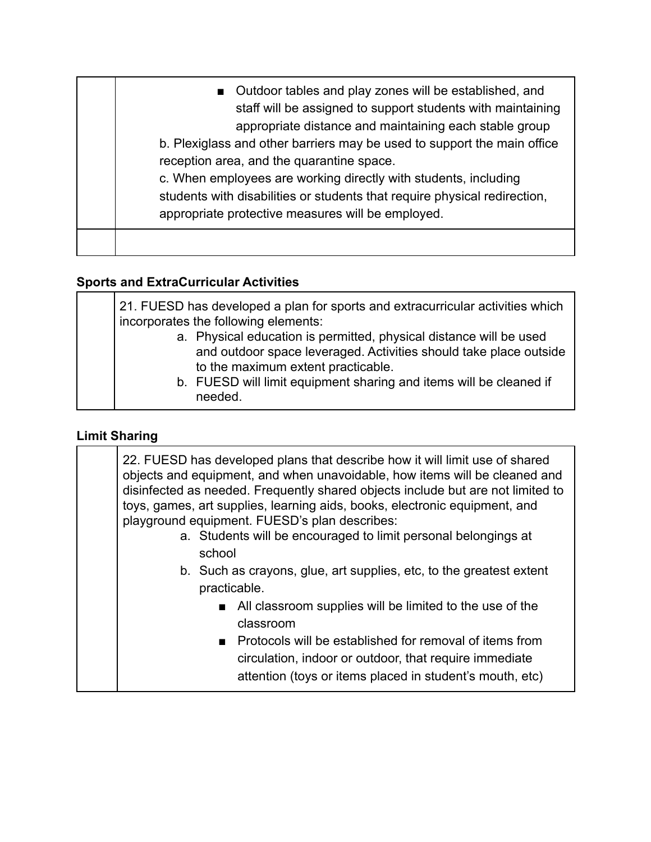| ■ Outdoor tables and play zones will be established, and<br>staff will be assigned to support students with maintaining<br>appropriate distance and maintaining each stable group<br>b. Plexiglass and other barriers may be used to support the main office<br>reception area, and the quarantine space.<br>c. When employees are working directly with students, including<br>students with disabilities or students that require physical redirection,<br>appropriate protective measures will be employed. |
|----------------------------------------------------------------------------------------------------------------------------------------------------------------------------------------------------------------------------------------------------------------------------------------------------------------------------------------------------------------------------------------------------------------------------------------------------------------------------------------------------------------|
|                                                                                                                                                                                                                                                                                                                                                                                                                                                                                                                |

## **Sports and ExtraCurricular Activities**

| 21. FUESD has developed a plan for sports and extracurricular activities which<br>incorporates the following elements:<br>a. Physical education is permitted, physical distance will be used<br>and outdoor space leveraged. Activities should take place outside<br>to the maximum extent practicable. |
|---------------------------------------------------------------------------------------------------------------------------------------------------------------------------------------------------------------------------------------------------------------------------------------------------------|
| b. FUESD will limit equipment sharing and items will be cleaned if<br>needed.                                                                                                                                                                                                                           |

# **Limit Sharing**

| 22. FUESD has developed plans that describe how it will limit use of shared<br>objects and equipment, and when unavoidable, how items will be cleaned and<br>disinfected as needed. Frequently shared objects include but are not limited to<br>toys, games, art supplies, learning aids, books, electronic equipment, and<br>playground equipment. FUESD's plan describes:<br>a. Students will be encouraged to limit personal belongings at<br>school |
|---------------------------------------------------------------------------------------------------------------------------------------------------------------------------------------------------------------------------------------------------------------------------------------------------------------------------------------------------------------------------------------------------------------------------------------------------------|
| b. Such as crayons, glue, art supplies, etc, to the greatest extent<br>practicable.<br>All classroom supplies will be limited to the use of the<br>$\blacksquare$<br>classroom<br>Protocols will be established for removal of items from<br>$\blacksquare$<br>circulation, indoor or outdoor, that require immediate<br>attention (toys or items placed in student's mouth, etc)                                                                       |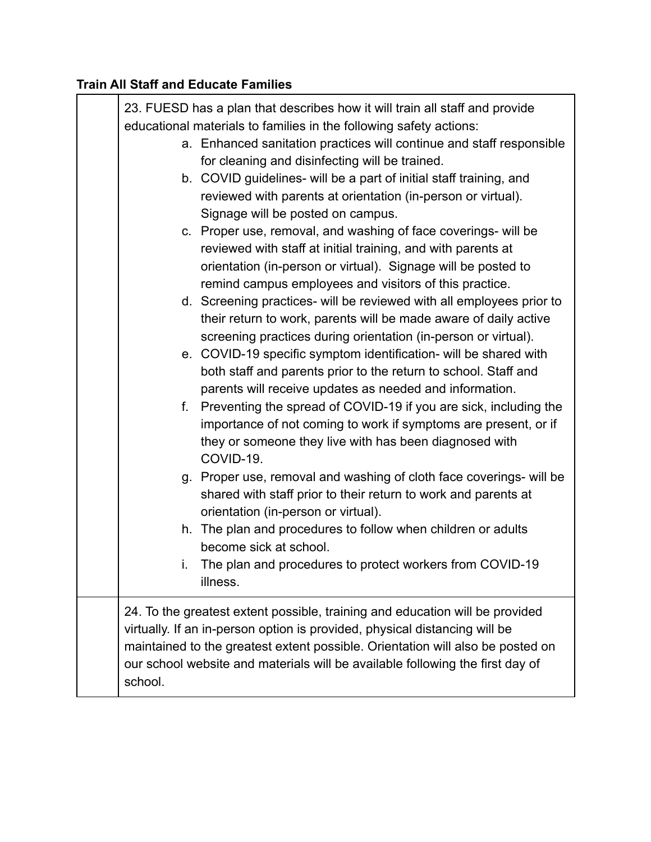### **Train All Staff and Educate Families**

| 23. FUESD has a plan that describes how it will train all staff and provide<br>educational materials to families in the following safety actions:<br>a. Enhanced sanitation practices will continue and staff responsible<br>for cleaning and disinfecting will be trained.<br>b. COVID guidelines- will be a part of initial staff training, and<br>reviewed with parents at orientation (in-person or virtual).<br>Signage will be posted on campus.<br>c. Proper use, removal, and washing of face coverings- will be<br>reviewed with staff at initial training, and with parents at<br>orientation (in-person or virtual). Signage will be posted to<br>remind campus employees and visitors of this practice.<br>d. Screening practices- will be reviewed with all employees prior to |
|---------------------------------------------------------------------------------------------------------------------------------------------------------------------------------------------------------------------------------------------------------------------------------------------------------------------------------------------------------------------------------------------------------------------------------------------------------------------------------------------------------------------------------------------------------------------------------------------------------------------------------------------------------------------------------------------------------------------------------------------------------------------------------------------|
| their return to work, parents will be made aware of daily active<br>screening practices during orientation (in-person or virtual).<br>e. COVID-19 specific symptom identification- will be shared with<br>both staff and parents prior to the return to school. Staff and<br>parents will receive updates as needed and information.                                                                                                                                                                                                                                                                                                                                                                                                                                                        |
| f. Preventing the spread of COVID-19 if you are sick, including the<br>importance of not coming to work if symptoms are present, or if<br>they or someone they live with has been diagnosed with<br>COVID-19.                                                                                                                                                                                                                                                                                                                                                                                                                                                                                                                                                                               |
| g. Proper use, removal and washing of cloth face coverings- will be<br>shared with staff prior to their return to work and parents at<br>orientation (in-person or virtual).                                                                                                                                                                                                                                                                                                                                                                                                                                                                                                                                                                                                                |
| h. The plan and procedures to follow when children or adults<br>become sick at school.                                                                                                                                                                                                                                                                                                                                                                                                                                                                                                                                                                                                                                                                                                      |
| The plan and procedures to protect workers from COVID-19<br>İ.<br>illness.                                                                                                                                                                                                                                                                                                                                                                                                                                                                                                                                                                                                                                                                                                                  |
| 24. To the greatest extent possible, training and education will be provided<br>virtually. If an in-person option is provided, physical distancing will be<br>maintained to the greatest extent possible. Orientation will also be posted on<br>our school website and materials will be available following the first day of<br>school.                                                                                                                                                                                                                                                                                                                                                                                                                                                    |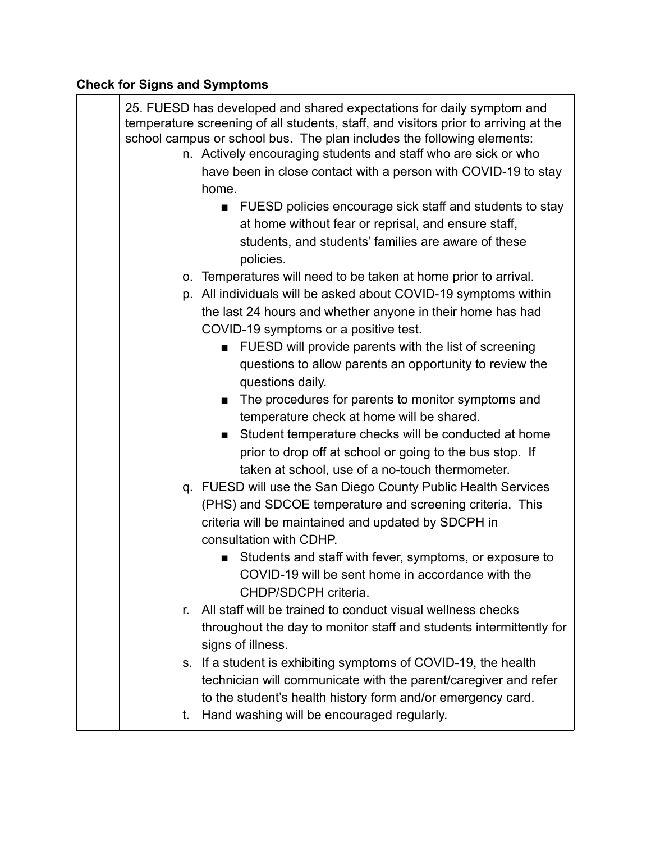# **Check for Signs and Symptoms**

|    | 25. FUESD has developed and shared expectations for daily symptom and<br>temperature screening of all students, staff, and visitors prior to arriving at the<br>school campus or school bus. The plan includes the following elements:<br>n. Actively encouraging students and staff who are sick or who<br>have been in close contact with a person with COVID-19 to stay<br>home.<br>FUESD policies encourage sick staff and students to stay<br>$\blacksquare$<br>at home without fear or reprisal, and ensure staff,<br>students, and students' families are aware of these<br>policies. |
|----|----------------------------------------------------------------------------------------------------------------------------------------------------------------------------------------------------------------------------------------------------------------------------------------------------------------------------------------------------------------------------------------------------------------------------------------------------------------------------------------------------------------------------------------------------------------------------------------------|
|    | o. Temperatures will need to be taken at home prior to arrival.                                                                                                                                                                                                                                                                                                                                                                                                                                                                                                                              |
|    | p. All individuals will be asked about COVID-19 symptoms within<br>the last 24 hours and whether anyone in their home has had<br>COVID-19 symptoms or a positive test.                                                                                                                                                                                                                                                                                                                                                                                                                       |
|    | FUESD will provide parents with the list of screening<br>questions to allow parents an opportunity to review the<br>questions daily.                                                                                                                                                                                                                                                                                                                                                                                                                                                         |
|    | • The procedures for parents to monitor symptoms and<br>temperature check at home will be shared.<br>Student temperature checks will be conducted at home<br>$\blacksquare$<br>prior to drop off at school or going to the bus stop. If                                                                                                                                                                                                                                                                                                                                                      |
|    | taken at school, use of a no-touch thermometer.<br>q. FUESD will use the San Diego County Public Health Services<br>(PHS) and SDCOE temperature and screening criteria. This<br>criteria will be maintained and updated by SDCPH in<br>consultation with CDHP.                                                                                                                                                                                                                                                                                                                               |
|    | Students and staff with fever, symptoms, or exposure to<br>COVID-19 will be sent home in accordance with the<br>CHDP/SDCPH criteria.                                                                                                                                                                                                                                                                                                                                                                                                                                                         |
| r. | All staff will be trained to conduct visual wellness checks<br>throughout the day to monitor staff and students intermittently for<br>signs of illness.                                                                                                                                                                                                                                                                                                                                                                                                                                      |
|    | s. If a student is exhibiting symptoms of COVID-19, the health<br>technician will communicate with the parent/caregiver and refer<br>to the student's health history form and/or emergency card.                                                                                                                                                                                                                                                                                                                                                                                             |
| t. | Hand washing will be encouraged regularly.                                                                                                                                                                                                                                                                                                                                                                                                                                                                                                                                                   |
|    |                                                                                                                                                                                                                                                                                                                                                                                                                                                                                                                                                                                              |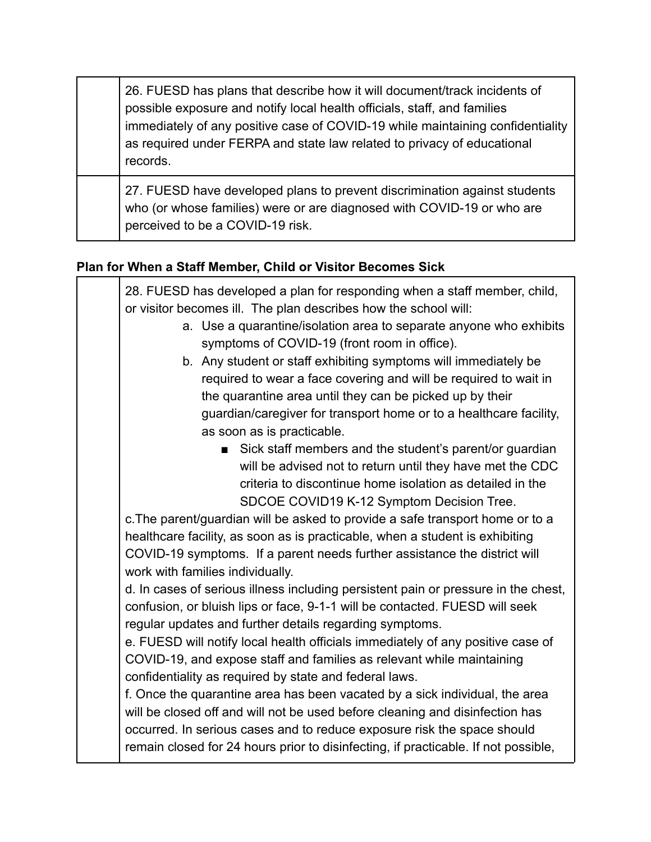26. FUESD has plans that describe how it will document/track incidents of possible exposure and notify local health officials, staff, and families immediately of any positive case of COVID-19 while maintaining confidentiality as required under FERPA and state law related to privacy of educational records.

27. FUESD have developed plans to prevent discrimination against students who (or whose families) were or are diagnosed with COVID-19 or who are perceived to be a COVID-19 risk.

### **Plan for When a Staff Member, Child or Visitor Becomes Sick**

28. FUESD has developed a plan for responding when a staff member, child, or visitor becomes ill. The plan describes how the school will: a. Use a quarantine/isolation area to separate anyone who exhibits symptoms of COVID-19 (front room in office). b. Any student or staff exhibiting symptoms will immediately be required to wear a face covering and will be required to wait in the quarantine area until they can be picked up by their guardian/caregiver for transport home or to a healthcare facility, as soon as is practicable. ■ Sick staff members and the student's parent/or guardian will be advised not to return until they have met the CDC criteria to discontinue home isolation as detailed in the SDCOE COVID19 K-12 Symptom Decision Tree. c.The parent/guardian will be asked to provide a safe transport home or to a healthcare facility, as soon as is practicable, when a student is exhibiting COVID-19 symptoms. If a parent needs further assistance the district will work with families individually. d. In cases of serious illness including persistent pain or pressure in the chest, confusion, or bluish lips or face, 9-1-1 will be contacted. FUESD will seek regular updates and further details regarding symptoms. e. FUESD will notify local health officials immediately of any positive case of COVID-19, and expose staff and families as relevant while maintaining confidentiality as required by state and federal laws. f. Once the quarantine area has been vacated by a sick individual, the area will be closed off and will not be used before cleaning and disinfection has occurred. In serious cases and to reduce exposure risk the space should remain closed for 24 hours prior to disinfecting, if practicable. If not possible,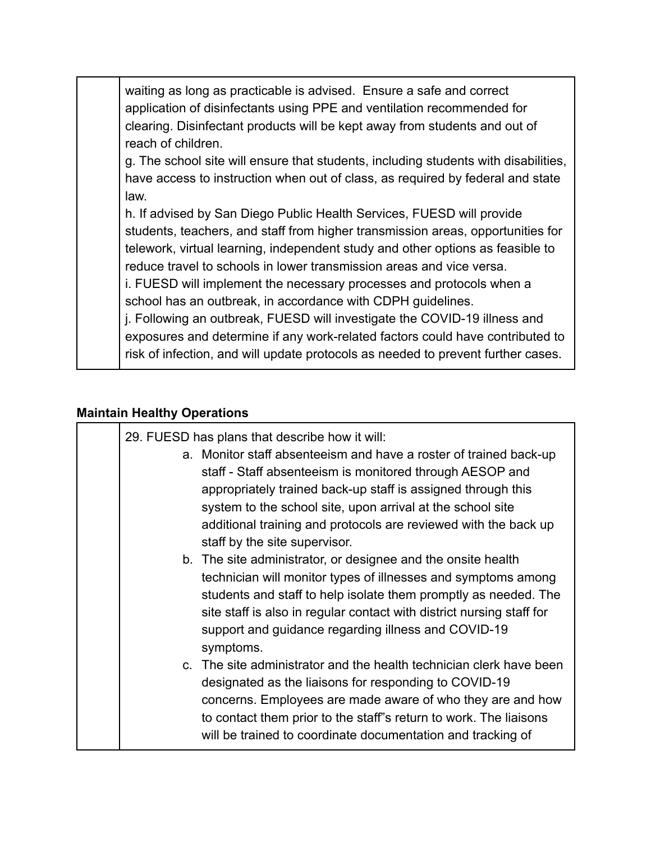waiting as long as practicable is advised. Ensure a safe and correct application of disinfectants using PPE and ventilation recommended for clearing. Disinfectant products will be kept away from students and out of reach of children.

g. The school site will ensure that students, including students with disabilities, have access to instruction when out of class, as required by federal and state law.

h. If advised by San Diego Public Health Services, FUESD will provide students, teachers, and staff from higher transmission areas, opportunities for telework, virtual learning, independent study and other options as feasible to reduce travel to schools in lower transmission areas and vice versa.

i. FUESD will implement the necessary processes and protocols when a school has an outbreak, in accordance with CDPH guidelines.

j. Following an outbreak, FUESD will investigate the COVID-19 illness and exposures and determine if any work-related factors could have contributed to risk of infection, and will update protocols as needed to prevent further cases.

#### **Maintain Healthy Operations**

| 29. FUESD has plans that describe how it will:                                                                                                                                                                                                                                                                                                                  |
|-----------------------------------------------------------------------------------------------------------------------------------------------------------------------------------------------------------------------------------------------------------------------------------------------------------------------------------------------------------------|
| a. Monitor staff absenteeism and have a roster of trained back-up<br>staff - Staff absenteeism is monitored through AESOP and<br>appropriately trained back-up staff is assigned through this<br>system to the school site, upon arrival at the school site<br>additional training and protocols are reviewed with the back up<br>staff by the site supervisor. |
| b. The site administrator, or designee and the onsite health<br>technician will monitor types of illnesses and symptoms among<br>students and staff to help isolate them promptly as needed. The<br>site staff is also in regular contact with district nursing staff for<br>support and guidance regarding illness and COVID-19<br>symptoms.                   |
| c. The site administrator and the health technician clerk have been<br>designated as the liaisons for responding to COVID-19<br>concerns. Employees are made aware of who they are and how<br>to contact them prior to the staff"s return to work. The liaisons<br>will be trained to coordinate documentation and tracking of                                  |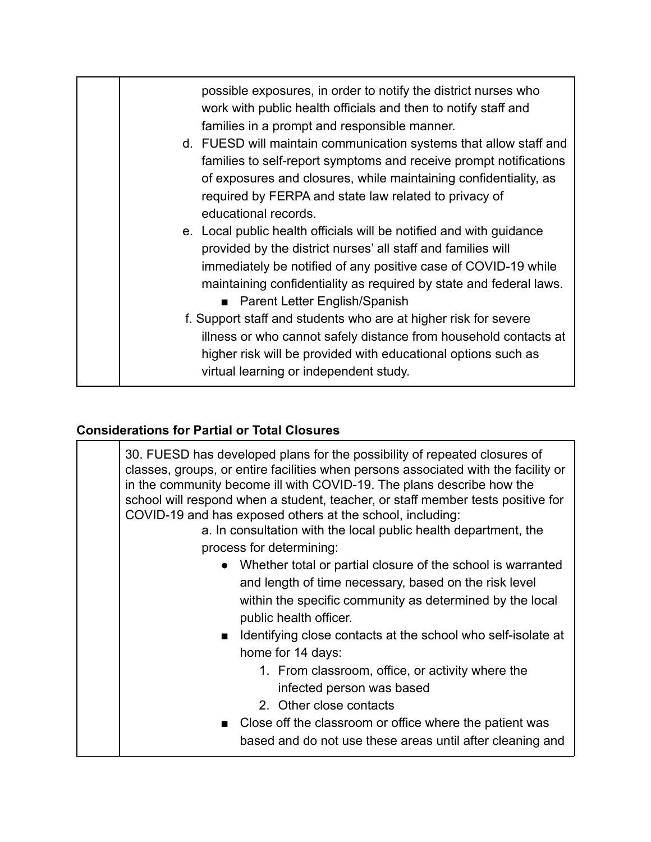| possible exposures, in order to notify the district nurses who<br>work with public health officials and then to notify staff and<br>families in a prompt and responsible manner.<br>d. FUESD will maintain communication systems that allow staff and<br>families to self-report symptoms and receive prompt notifications<br>of exposures and closures, while maintaining confidentiality, as<br>required by FERPA and state law related to privacy of<br>educational records.<br>e. Local public health officials will be notified and with guidance<br>provided by the district nurses' all staff and families will<br>immediately be notified of any positive case of COVID-19 while<br>maintaining confidentiality as required by state and federal laws.<br>■ Parent Letter English/Spanish<br>f. Support staff and students who are at higher risk for severe<br>illness or who cannot safely distance from household contacts at |
|------------------------------------------------------------------------------------------------------------------------------------------------------------------------------------------------------------------------------------------------------------------------------------------------------------------------------------------------------------------------------------------------------------------------------------------------------------------------------------------------------------------------------------------------------------------------------------------------------------------------------------------------------------------------------------------------------------------------------------------------------------------------------------------------------------------------------------------------------------------------------------------------------------------------------------------|
| higher risk will be provided with educational options such as<br>virtual learning or independent study.                                                                                                                                                                                                                                                                                                                                                                                                                                                                                                                                                                                                                                                                                                                                                                                                                                  |

### **Considerations for Partial or Total Closures**

| 30. FUESD has developed plans for the possibility of repeated closures of<br>classes, groups, or entire facilities when persons associated with the facility or<br>in the community become ill with COVID-19. The plans describe how the<br>school will respond when a student, teacher, or staff member tests positive for<br>COVID-19 and has exposed others at the school, including:<br>a. In consultation with the local public health department, the<br>process for determining: |
|-----------------------------------------------------------------------------------------------------------------------------------------------------------------------------------------------------------------------------------------------------------------------------------------------------------------------------------------------------------------------------------------------------------------------------------------------------------------------------------------|
| • Whether total or partial closure of the school is warranted<br>and length of time necessary, based on the risk level<br>within the specific community as determined by the local<br>public health officer.                                                                                                                                                                                                                                                                            |
| Identifying close contacts at the school who self-isolate at<br>$\blacksquare$<br>home for 14 days:<br>1. From classroom, office, or activity where the<br>infected person was based                                                                                                                                                                                                                                                                                                    |
| 2. Other close contacts<br>■ Close off the classroom or office where the patient was<br>based and do not use these areas until after cleaning and                                                                                                                                                                                                                                                                                                                                       |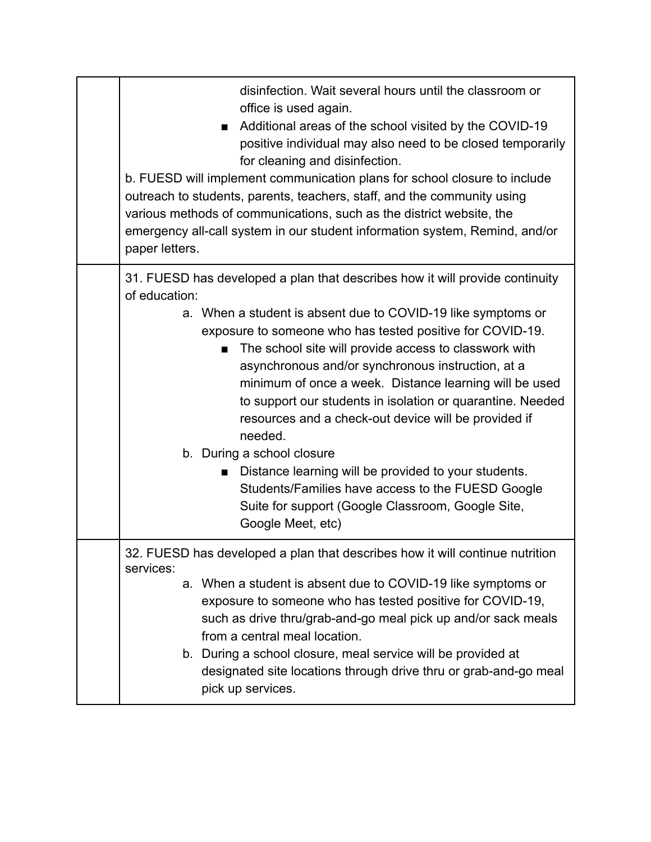| disinfection. Wait several hours until the classroom or<br>office is used again.<br>Additional areas of the school visited by the COVID-19<br>п<br>positive individual may also need to be closed temporarily<br>for cleaning and disinfection.<br>b. FUESD will implement communication plans for school closure to include<br>outreach to students, parents, teachers, staff, and the community using<br>various methods of communications, such as the district website, the<br>emergency all-call system in our student information system, Remind, and/or<br>paper letters.                                                                               |
|----------------------------------------------------------------------------------------------------------------------------------------------------------------------------------------------------------------------------------------------------------------------------------------------------------------------------------------------------------------------------------------------------------------------------------------------------------------------------------------------------------------------------------------------------------------------------------------------------------------------------------------------------------------|
| 31. FUESD has developed a plan that describes how it will provide continuity<br>of education:                                                                                                                                                                                                                                                                                                                                                                                                                                                                                                                                                                  |
| a. When a student is absent due to COVID-19 like symptoms or<br>exposure to someone who has tested positive for COVID-19.<br>The school site will provide access to classwork with<br>■<br>asynchronous and/or synchronous instruction, at a<br>minimum of once a week. Distance learning will be used<br>to support our students in isolation or quarantine. Needed<br>resources and a check-out device will be provided if<br>needed.<br>b. During a school closure<br>■ Distance learning will be provided to your students.<br>Students/Families have access to the FUESD Google<br>Suite for support (Google Classroom, Google Site,<br>Google Meet, etc) |
| 32. FUESD has developed a plan that describes how it will continue nutrition<br>services:                                                                                                                                                                                                                                                                                                                                                                                                                                                                                                                                                                      |
| a. When a student is absent due to COVID-19 like symptoms or<br>exposure to someone who has tested positive for COVID-19,<br>such as drive thru/grab-and-go meal pick up and/or sack meals<br>from a central meal location.<br>b. During a school closure, meal service will be provided at<br>designated site locations through drive thru or grab-and-go meal<br>pick up services.                                                                                                                                                                                                                                                                           |